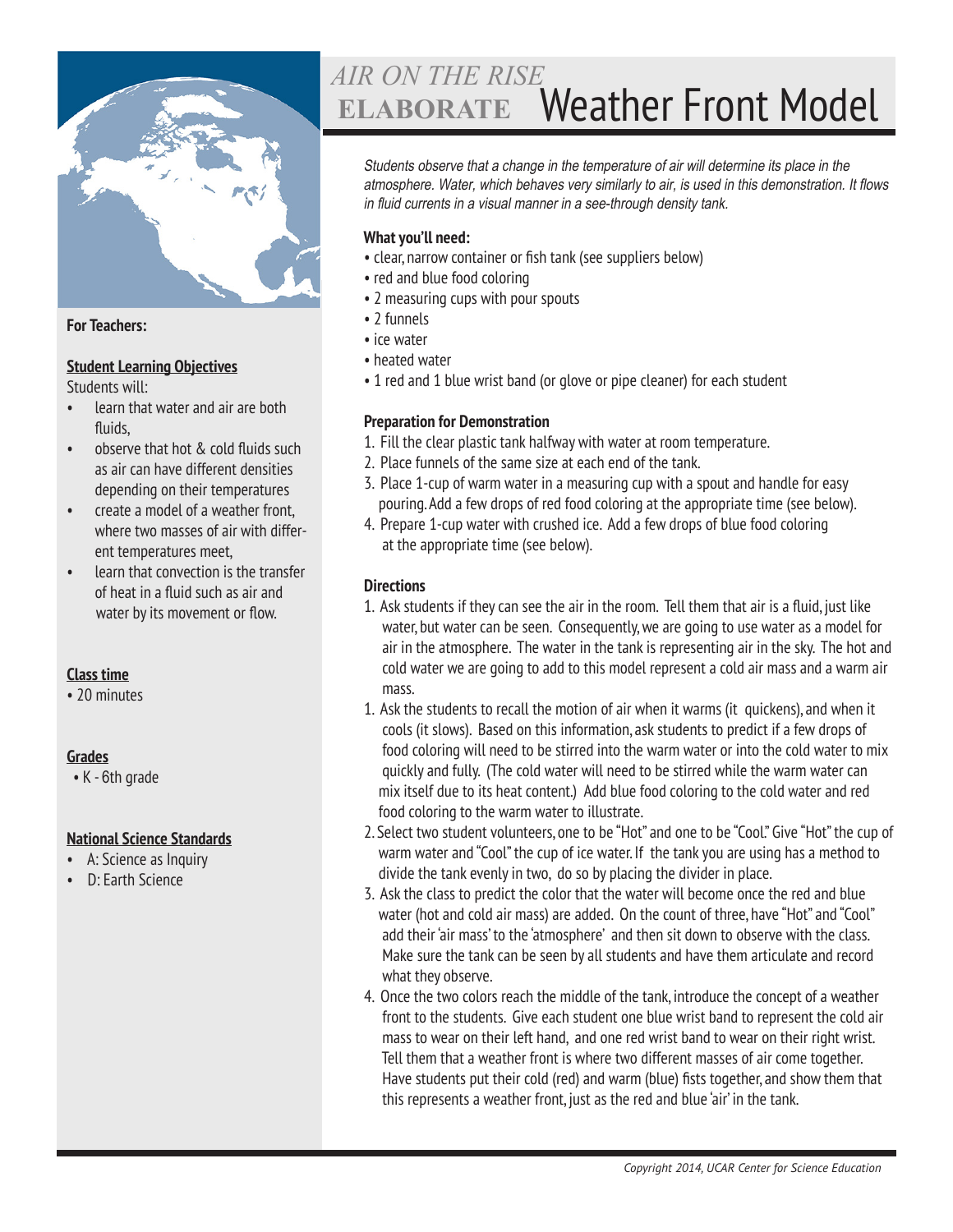

#### **For Teachers:**

#### **Student Learning Objectives**

Students will:

- learn that water and air are both fluids,
- observe that hot & cold fluids such as air can have different densities depending on their temperatures
- create a model of a weather front, where two masses of air with different temperatures meet,
- learn that convection is the transfer of heat in a fluid such as air and water by its movement or flow.

# **Class time**

• 20 minutes

# **Grades**

• K - 6th grade

# **National Science Standards**

- A: Science as Inquiry
- D: Earth Science

# Weather Front Model *AIR ON THE RISE* **ELABORATE**

Students observe that a change in the temperature of air will determine its place in the atmosphere. Water, which behaves very similarly to air, is used in this demonstration. It flows in fluid currents in a visual manner in a see-through density tank.

#### **What you'll need:**

- clear, narrow container or fish tank (see suppliers below)
- red and blue food coloring
- 2 measuring cups with pour spouts
- 2 funnels
- ice water
- heated water
- 1 red and 1 blue wrist band (or glove or pipe cleaner) for each student

#### **Preparation for Demonstration**

- 1. Fill the clear plastic tank halfway with water at room temperature.
- 2. Place funnels of the same size at each end of the tank.
- 3. Place 1-cup of warm water in a measuring cup with a spout and handle for easy pouring. Add a few drops of red food coloring at the appropriate time (see below).
- 4. Prepare 1-cup water with crushed ice. Add a few drops of blue food coloring at the appropriate time (see below).

# **Directions**

- 1. Ask students if they can see the air in the room. Tell them that air is a fluid, just like water, but water can be seen. Consequently, we are going to use water as a model for air in the atmosphere. The water in the tank is representing air in the sky. The hot and cold water we are going to add to this model represent a cold air mass and a warm air mass.
- 1. Ask the students to recall the motion of air when it warms (it quickens), and when it cools (it slows). Based on this information, ask students to predict if a few drops of food coloring will need to be stirred into the warm water or into the cold water to mix quickly and fully. (The cold water will need to be stirred while the warm water can mix itself due to its heat content.) Add blue food coloring to the cold water and red food coloring to the warm water to illustrate.
- 2. Select two student volunteers, one to be "Hot" and one to be "Cool." Give "Hot" the cup of warm water and "Cool" the cup of ice water. If the tank you are using has a method to divide the tank evenly in two, do so by placing the divider in place.
- 3. Ask the class to predict the color that the water will become once the red and blue water (hot and cold air mass) are added. On the count of three, have "Hot" and "Cool" add their 'air mass' to the 'atmosphere' and then sit down to observe with the class. Make sure the tank can be seen by all students and have them articulate and record what they observe.
- 4. Once the two colors reach the middle of the tank, introduce the concept of a weather front to the students. Give each student one blue wrist band to represent the cold air mass to wear on their left hand, and one red wrist band to wear on their right wrist. Tell them that a weather front is where two different masses of air come together. Have students put their cold (red) and warm (blue) fists together, and show them that this represents a weather front, just as the red and blue 'air' in the tank.